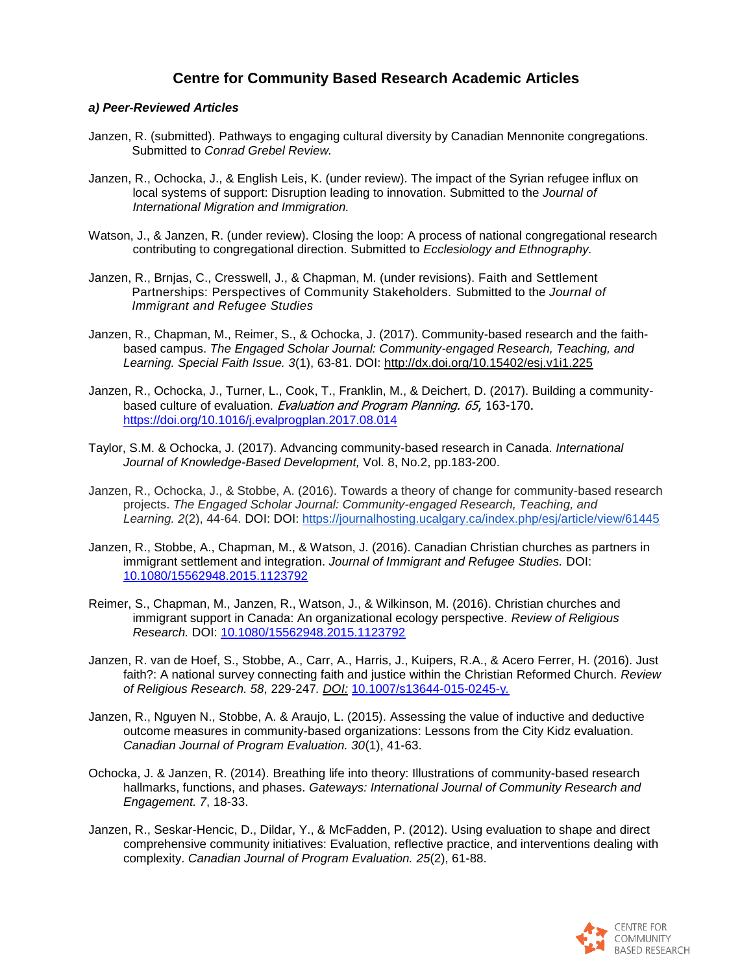## **Centre for Community Based Research Academic Articles**

## *a) Peer-Reviewed Articles*

- Janzen, R. (submitted). Pathways to engaging cultural diversity by Canadian Mennonite congregations. Submitted to *Conrad Grebel Review.*
- Janzen, R., Ochocka, J., & English Leis, K. (under review). The impact of the Syrian refugee influx on local systems of support: Disruption leading to innovation. Submitted to the *Journal of International Migration and Immigration.*
- Watson, J., & Janzen, R. (under review). Closing the loop: A process of national congregational research contributing to congregational direction. Submitted to *Ecclesiology and Ethnography.*
- Janzen, R., Brnjas, C., Cresswell, J., & Chapman, M. (under revisions). Faith and Settlement Partnerships: Perspectives of Community Stakeholders. Submitted to the *Journal of Immigrant and Refugee Studies*
- Janzen, R., Chapman, M., Reimer, S., & Ochocka, J. (2017). Community-based research and the faithbased campus. *The Engaged Scholar Journal: Community-engaged Research, Teaching, and Learning. Special Faith Issue. 3*(1), 63-81. DOI: <http://dx.doi.org/10.15402/esj.v1i1.225>
- Janzen, R., Ochocka, J., Turner, L., Cook, T., Franklin, M., & Deichert, D. (2017). Building a communitybased culture of evaluation. Evaluation and Program Planning. 65, 163-170. <https://doi.org/10.1016/j.evalprogplan.2017.08.014>
- Taylor, S.M. & Ochocka, J. (2017). Advancing community-based research in Canada. *International Journal of Knowledge-Based Development,* Vol. 8, No.2, pp.183-200.
- Janzen, R., Ochocka, J., & Stobbe, A. (2016). Towards a theory of change for community-based research projects. *The Engaged Scholar Journal: Community-engaged Research, Teaching, and Learning. 2*(2), 44-64. DOI: DOI: [https://journalhosting.ucalgary.ca/index.php/esj/article/view/61445](https://journalhosting.ucalgary.ca/index.php/esj/article/view/61445#_blank)
- Janzen, R., Stobbe, A., Chapman, M., & Watson, J. (2016). Canadian Christian churches as partners in immigrant settlement and integration. *Journal of Immigrant and Refugee Studies.* DOI: [10.1080/15562948.2015.1123792](http://www.tandfonline.com/doi/full/10.1080/15562948.2015.1123792#.VzHd4IQrLRY)
- Reimer, S., Chapman, M., Janzen, R., Watson, J., & Wilkinson, M. (2016). Christian churches and immigrant support in Canada: An organizational ecology perspective. *Review of Religious Research.* DOI: [10.1080/15562948.2015.1123792](http://link.springer.com/article/10.1007/s13644-016-0252-7)
- Janzen, R. van de Hoef, S., Stobbe, A., Carr, A., Harris, J., Kuipers, R.A., & Acero Ferrer, H. (2016). Just faith?: A national survey connecting faith and justice within the Christian Reformed Church. *Review of Religious Research. 58*, 229-247*. [DOI:](http://link.springer.com/article/10.1007/s13644-015-0245-y/fulltext.html)* [10.1007/s13644-015-0245-y](http://link.springer.com/article/10.1007/s13644-015-0245-y/fulltext.html)*.*
- Janzen, R., Nguyen N., Stobbe, A. & Araujo, L. (2015). Assessing the value of inductive and deductive outcome measures in community-based organizations: Lessons from the City Kidz evaluation. *Canadian Journal of Program Evaluation. 30*(1), 41-63.
- Ochocka, J. & Janzen, R. (2014). Breathing life into theory: Illustrations of community-based research hallmarks, functions, and phases. *Gateways: International Journal of Community Research and Engagement. 7*, 18-33.
- Janzen, R., Seskar-Hencic, D., Dildar, Y., & McFadden, P. (2012). Using evaluation to shape and direct comprehensive community initiatives: Evaluation, reflective practice, and interventions dealing with complexity. *Canadian Journal of Program Evaluation. 25*(2), 61-88.

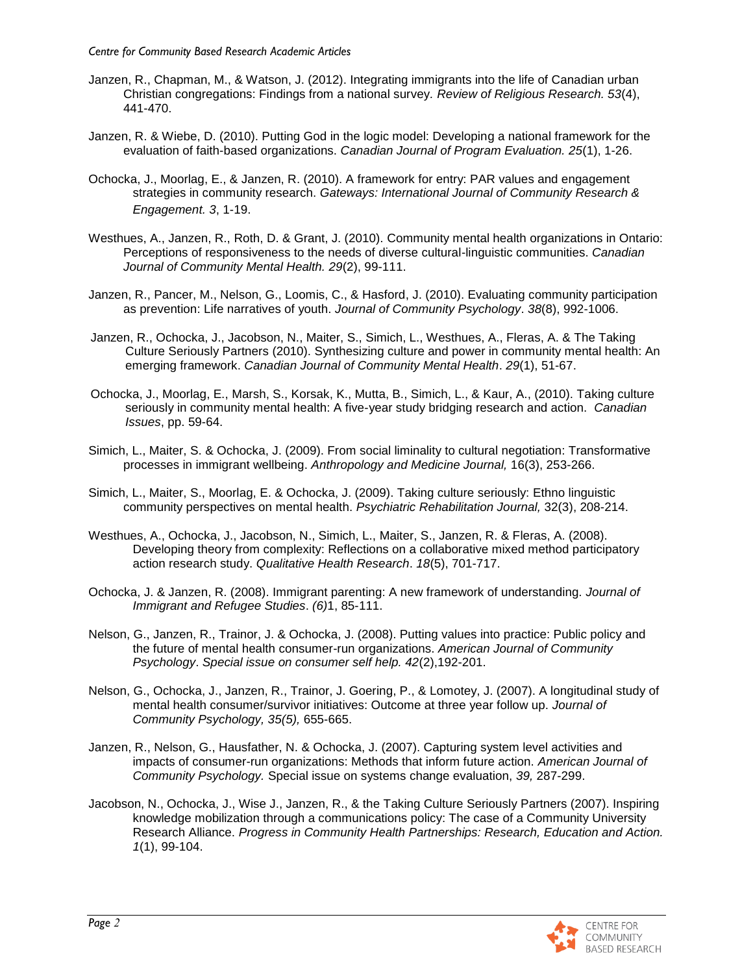- Janzen, R., Chapman, M., & Watson, J. (2012). Integrating immigrants into the life of Canadian urban Christian congregations: Findings from a national survey*. Review of Religious Research. 53*(4), 441-470.
- Janzen, R. & Wiebe, D. (2010). Putting God in the logic model: Developing a national framework for the evaluation of faith-based organizations. *Canadian Journal of Program Evaluation. 25*(1), 1-26.
- Ochocka, J., Moorlag, E., & Janzen, R. (2010). A framework for entry: PAR values and engagement strategies in community research. *Gateways: International Journal of Community Research & Engagement. 3*, 1-19.
- Westhues, A., Janzen, R., Roth, D. & Grant, J. (2010). Community mental health organizations in Ontario: Perceptions of responsiveness to the needs of diverse cultural-linguistic communities. *Canadian Journal of Community Mental Health. 29*(2), 99-111.
- Janzen, R., Pancer, M., Nelson, G., Loomis, C., & Hasford, J. (2010). Evaluating community participation as prevention: Life narratives of youth. *Journal of Community Psychology*. *38*(8), 992-1006.
- Janzen, R., Ochocka, J., Jacobson, N., Maiter, S., Simich, L., Westhues, A., Fleras, A. & The Taking Culture Seriously Partners (2010). Synthesizing culture and power in community mental health: An emerging framework. *Canadian Journal of Community Mental Health*. *29*(1), 51-67.
- Ochocka, J., Moorlag, E., Marsh, S., Korsak, K., Mutta, B., Simich, L., & Kaur, A., (2010). Taking culture seriously in community mental health: A five-year study bridging research and action. *Canadian Issues*, pp. 59-64.
- Simich, L., Maiter, S. & Ochocka, J. (2009). From social liminality to cultural negotiation: Transformative processes in immigrant wellbeing. *Anthropology and Medicine Journal,* 16(3), 253-266.
- Simich, L., Maiter, S., Moorlag, E. & Ochocka, J. (2009). Taking culture seriously: Ethno linguistic community perspectives on mental health. *Psychiatric Rehabilitation Journal,* 32(3), 208-214.
- Westhues, A., Ochocka, J., Jacobson, N., Simich, L., Maiter, S., Janzen, R. & Fleras, A. (2008). Developing theory from complexity: Reflections on a collaborative mixed method participatory action research study. *Qualitative Health Research*. *18*(5), 701-717.
- Ochocka, J. & Janzen, R. (2008). Immigrant parenting: A new framework of understanding. *Journal of Immigrant and Refugee Studies*. *(6)*1, 85-111.
- Nelson, G., Janzen, R., Trainor, J. & Ochocka, J. (2008). Putting values into practice: Public policy and the future of mental health consumer-run organizations. *American Journal of Community Psychology*. *Special issue on consumer self help. 42*(2),192-201.
- Nelson, G., Ochocka, J., Janzen, R., Trainor, J. Goering, P., & Lomotey, J. (2007). A longitudinal study of mental health consumer/survivor initiatives: Outcome at three year follow up. *Journal of Community Psychology, 35(5),* 655-665.
- Janzen, R., Nelson, G., Hausfather, N. & Ochocka, J. (2007). Capturing system level activities and impacts of consumer-run organizations: Methods that inform future action. *American Journal of Community Psychology.* Special issue on systems change evaluation, *39,* 287-299.
- Jacobson, N., Ochocka, J., Wise J., Janzen, R., & the Taking Culture Seriously Partners (2007). Inspiring knowledge mobilization through a communications policy: The case of a Community University Research Alliance. *Progress in Community Health Partnerships: Research, Education and Action. 1*(1), 99-104.

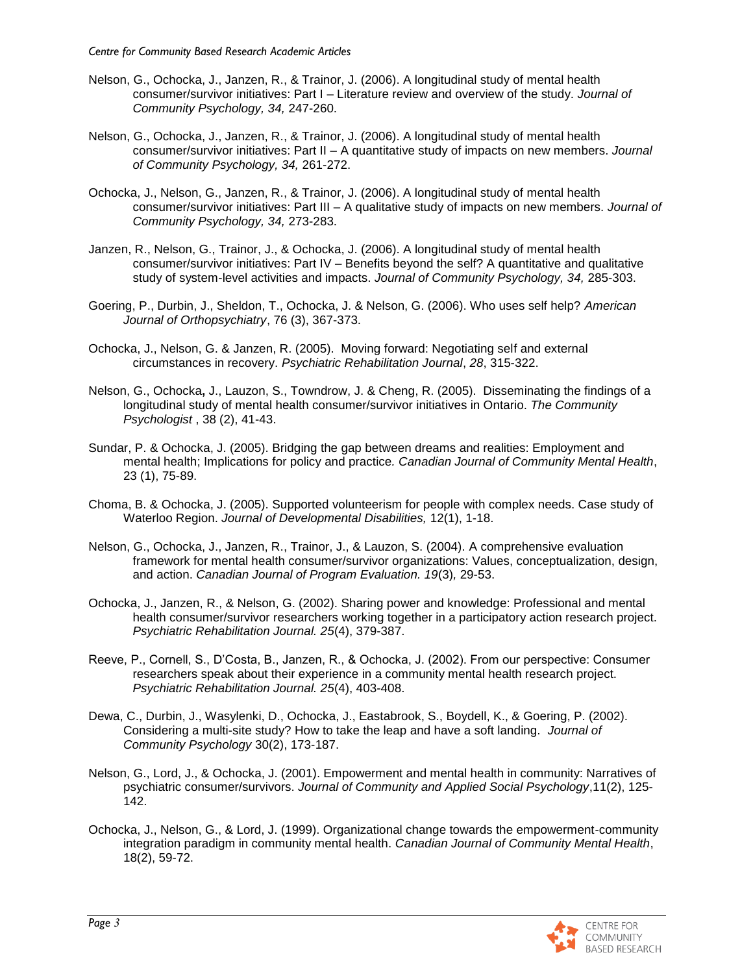- Nelson, G., Ochocka, J., Janzen, R., & Trainor, J. (2006). A longitudinal study of mental health consumer/survivor initiatives: Part I – Literature review and overview of the study. *Journal of Community Psychology, 34,* 247-260.
- Nelson, G., Ochocka, J., Janzen, R., & Trainor, J. (2006). A longitudinal study of mental health consumer/survivor initiatives: Part II – A quantitative study of impacts on new members. *Journal of Community Psychology, 34,* 261-272.
- Ochocka, J., Nelson, G., Janzen, R., & Trainor, J. (2006). A longitudinal study of mental health consumer/survivor initiatives: Part III – A qualitative study of impacts on new members. *Journal of Community Psychology, 34,* 273-283.
- Janzen, R., Nelson, G., Trainor, J., & Ochocka, J. (2006). A longitudinal study of mental health consumer/survivor initiatives: Part IV – Benefits beyond the self? A quantitative and qualitative study of system-level activities and impacts. *Journal of Community Psychology, 34,* 285-303.
- Goering, P., Durbin, J., Sheldon, T., Ochocka, J. & Nelson, G. (2006). Who uses self help? *American Journal of Orthopsychiatry*, 76 (3), 367-373.
- Ochocka, J., Nelson, G. & Janzen, R. (2005). Moving forward: Negotiating self and external circumstances in recovery. *Psychiatric Rehabilitation Journal*, *28*, 315-322.
- Nelson, G., Ochocka**,** J., Lauzon, S., Towndrow, J. & Cheng, R. (2005). Disseminating the findings of a longitudinal study of mental health consumer/survivor initiatives in Ontario. *The Community Psychologist* , 38 (2), 41-43.
- Sundar, P. & Ochocka, J. (2005). Bridging the gap between dreams and realities: Employment and mental health; Implications for policy and practice*. Canadian Journal of Community Mental Health*, 23 (1), 75-89.
- Choma, B. & Ochocka, J. (2005). Supported volunteerism for people with complex needs. Case study of Waterloo Region. *Journal of Developmental Disabilities,* 12(1), 1-18.
- Nelson, G., Ochocka, J., Janzen, R., Trainor, J., & Lauzon, S. (2004). A comprehensive evaluation framework for mental health consumer/survivor organizations: Values, conceptualization, design, and action. *Canadian Journal of Program Evaluation. 19*(3)*,* 29-53.
- Ochocka, J., Janzen, R., & Nelson, G. (2002). Sharing power and knowledge: Professional and mental health consumer/survivor researchers working together in a participatory action research project. *Psychiatric Rehabilitation Journal. 25*(4), 379-387.
- Reeve, P., Cornell, S., D'Costa, B., Janzen, R., & Ochocka, J. (2002). From our perspective: Consumer researchers speak about their experience in a community mental health research project. *Psychiatric Rehabilitation Journal. 25*(4), 403-408.
- Dewa, C., Durbin, J., Wasylenki, D., Ochocka, J., Eastabrook, S., Boydell, K., & Goering, P. (2002). Considering a multi-site study? How to take the leap and have a soft landing. *Journal of Community Psychology* 30(2), 173-187.
- Nelson, G., Lord, J., & Ochocka, J. (2001). Empowerment and mental health in community: Narratives of psychiatric consumer/survivors. *Journal of Community and Applied Social Psychology*,11(2), 125- 142.
- Ochocka, J., Nelson, G., & Lord, J. (1999). Organizational change towards the empowerment-community integration paradigm in community mental health. *Canadian Journal of Community Mental Health*, 18(2), 59-72.

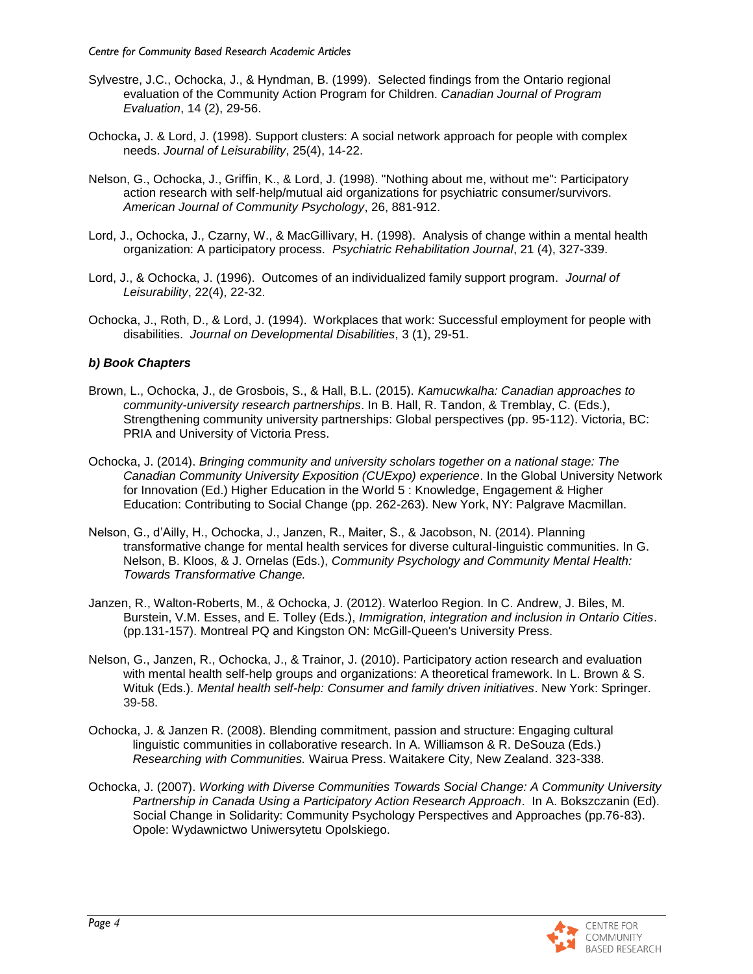- Sylvestre, J.C., Ochocka, J., & Hyndman, B. (1999). Selected findings from the Ontario regional evaluation of the Community Action Program for Children. *Canadian Journal of Program Evaluation*, 14 (2), 29-56.
- Ochocka**,** J. & Lord, J. (1998). Support clusters: A social network approach for people with complex needs. *Journal of Leisurability*, 25(4), 14-22.
- Nelson, G., Ochocka, J., Griffin, K., & Lord, J. (1998). "Nothing about me, without me": Participatory action research with self-help/mutual aid organizations for psychiatric consumer/survivors. *American Journal of Community Psychology*, 26, 881-912.
- Lord, J., Ochocka, J., Czarny, W., & MacGillivary, H. (1998). Analysis of change within a mental health organization: A participatory process. *Psychiatric Rehabilitation Journal*, 21 (4), 327-339.
- Lord, J., & Ochocka, J. (1996). Outcomes of an individualized family support program. *Journal of Leisurability*, 22(4), 22-32.
- Ochocka, J., Roth, D., & Lord, J. (1994). Workplaces that work: Successful employment for people with disabilities. *Journal on Developmental Disabilities*, 3 (1), 29-51.

## *b) Book Chapters*

- Brown, L., Ochocka, J., de Grosbois, S., & Hall, B.L. (2015). *Kamucwkalha: Canadian approaches to community-university research partnerships*. In B. Hall, R. Tandon, & Tremblay, C. (Eds.), Strengthening community university partnerships: Global perspectives (pp. 95-112). Victoria, BC: PRIA and University of Victoria Press.
- Ochocka, J. (2014). *Bringing community and university scholars together on a national stage: The Canadian Community University Exposition (CUExpo) experience*. In the Global University Network for Innovation (Ed.) Higher Education in the World 5 : Knowledge, Engagement & Higher Education: Contributing to Social Change (pp. 262-263). New York, NY: Palgrave Macmillan.
- Nelson, G., d'Ailly, H., Ochocka, J., Janzen, R., Maiter, S., & Jacobson, N. (2014). Planning transformative change for mental health services for diverse cultural-linguistic communities. In G. Nelson, B. Kloos, & J. Ornelas (Eds.), *Community Psychology and Community Mental Health: Towards Transformative Change.*
- Janzen, R., Walton-Roberts, M., & Ochocka, J. (2012). Waterloo Region. In C. Andrew, J. Biles, M. Burstein, V.M. Esses, and E. Tolley (Eds.), *Immigration, integration and inclusion in Ontario Cities*. (pp.131-157). Montreal PQ and Kingston ON: McGill-Queen's University Press.
- Nelson, G., Janzen, R., Ochocka, J., & Trainor, J. (2010). Participatory action research and evaluation with mental health self-help groups and organizations: A theoretical framework. In L. Brown & S. Wituk (Eds.). *Mental health self-help: Consumer and family driven initiatives*. New York: Springer. 39-58.
- Ochocka, J. & Janzen R. (2008). Blending commitment, passion and structure: Engaging cultural linguistic communities in collaborative research. In A. Williamson & R. DeSouza (Eds.) *Researching with Communities.* Wairua Press. Waitakere City, New Zealand. 323-338.
- Ochocka, J. (2007). *Working with Diverse Communities Towards Social Change: A Community University Partnership in Canada Using a Participatory Action Research Approach*. In A. Bokszczanin (Ed). Social Change in Solidarity: Community Psychology Perspectives and Approaches (pp.76-83). Opole: Wydawnictwo Uniwersytetu Opolskiego.